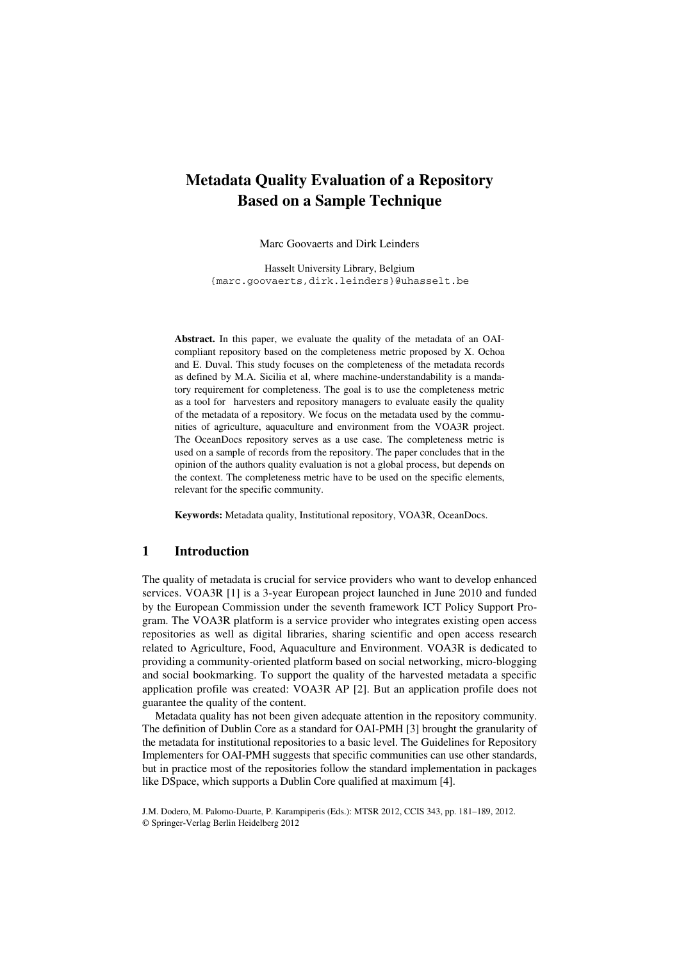# **Metadata Quality Evaluation of a Repository Based on a Sample Technique**

Marc Goovaerts and Dirk Leinders

Hasselt University Library, Belgium {marc.goovaerts,dirk.leinders}@uhasselt.be

**Abstract.** In this paper, we evaluate the quality of the metadata of an OAIcompliant repository based on the completeness metric proposed by X. Ochoa and E. Duval. This study focuses on the completeness of the metadata records as defined by M.A. Sicilia et al, where machine-understandability is a mandatory requirement for completeness. The goal is to use the completeness metric as a tool for harvesters and repository managers to evaluate easily the quality of the metadata of a repository. We focus on the metadata used by the communities of agriculture, aquaculture and environment from the VOA3R project. The OceanDocs repository serves as a use case. The completeness metric is used on a sample of records from the repository. The paper concludes that in the opinion of the authors quality evaluation is not a global process, but depends on the context. The completeness metric have to be used on the specific elements, relevant for the specific community.

**Keywords:** Metadata quality, Institutional repository, VOA3R, OceanDocs.

# **1 Introduction**

The quality of metadata is crucial for service providers who want to develop enhanced services. VOA3R [1] is a 3-year European project launched in June 2010 and funded by the European Commission under the seventh framework ICT Policy Support Program. The VOA3R platform is a service provider who integrates existing open access repositories as well as digital libraries, sharing scientific and open access research related to Agriculture, Food, Aquaculture and Environment. VOA3R is dedicated to providing a community-oriented platform based on social networking, micro-blogging and social bookmarking. To support the quality of the harvested metadata a specific application profile was created: VOA3R AP [2]. But an application profile does not guarantee the quality of the content.

Metadata quality has not been given adequate attention in the repository community. The definition of Dublin Core as a standard for OAI-PMH [3] brought the granularity of the metadata for institutional repositories to a basic level. The Guidelines for Repository Implementers for OAI-PMH suggests that specific communities can use other standards, but in practice most of the repositories follow the standard implementation in packages like DSpace, which supports a Dublin Core qualified at maximum [4].

J.M. Dodero, M. Palomo-Duarte, P. Karampiperis (Eds.): MTSR 2012, CCIS 343, pp. 181–189, 2012. © Springer-Verlag Berlin Heidelberg 2012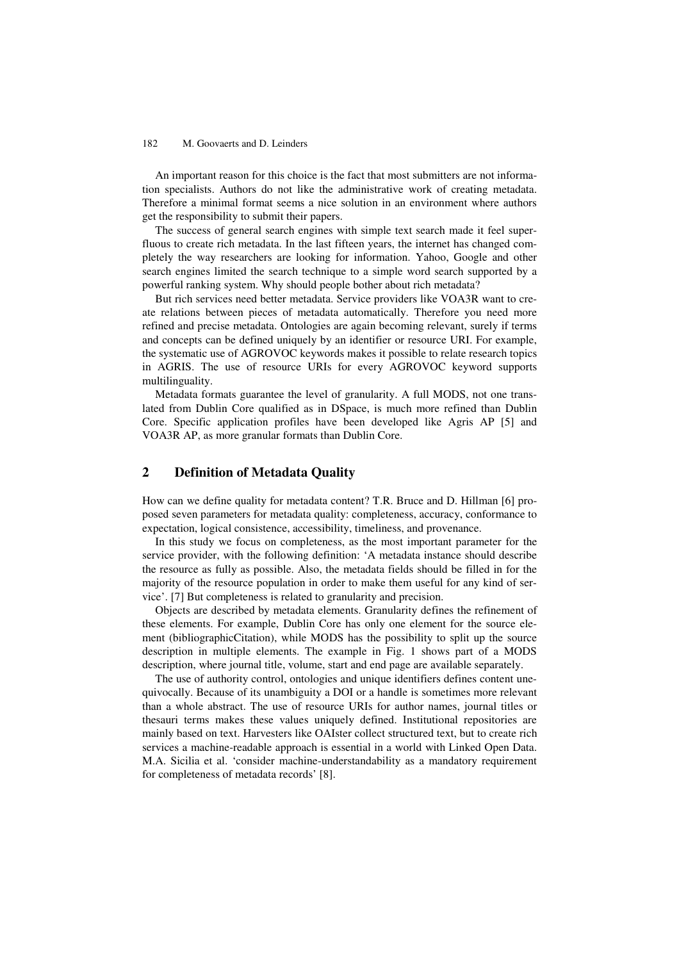#### 182 M. Goovaerts and D. Leinders

An important reason for this choice is the fact that most submitters are not information specialists. Authors do not like the administrative work of creating metadata. Therefore a minimal format seems a nice solution in an environment where authors get the responsibility to submit their papers.

The success of general search engines with simple text search made it feel superfluous to create rich metadata. In the last fifteen years, the internet has changed completely the way researchers are looking for information. Yahoo, Google and other search engines limited the search technique to a simple word search supported by a powerful ranking system. Why should people bother about rich metadata?

But rich services need better metadata. Service providers like VOA3R want to create relations between pieces of metadata automatically. Therefore you need more refined and precise metadata. Ontologies are again becoming relevant, surely if terms and concepts can be defined uniquely by an identifier or resource URI. For example, the systematic use of AGROVOC keywords makes it possible to relate research topics in AGRIS. The use of resource URIs for every AGROVOC keyword supports multilinguality.

Metadata formats guarantee the level of granularity. A full MODS, not one translated from Dublin Core qualified as in DSpace, is much more refined than Dublin Core. Specific application profiles have been developed like Agris AP [5] and VOA3R AP, as more granular formats than Dublin Core.

# **2 Definition of Metadata Quality**

How can we define quality for metadata content? T.R. Bruce and D. Hillman [6] proposed seven parameters for metadata quality: completeness, accuracy, conformance to expectation, logical consistence, accessibility, timeliness, and provenance.

In this study we focus on completeness, as the most important parameter for the service provider, with the following definition: 'A metadata instance should describe the resource as fully as possible. Also, the metadata fields should be filled in for the majority of the resource population in order to make them useful for any kind of service'. [7] But completeness is related to granularity and precision.

Objects are described by metadata elements. Granularity defines the refinement of these elements. For example, Dublin Core has only one element for the source element (bibliographicCitation), while MODS has the possibility to split up the source description in multiple elements. The example in Fig. 1 shows part of a MODS description, where journal title, volume, start and end page are available separately.

The use of authority control, ontologies and unique identifiers defines content unequivocally. Because of its unambiguity a DOI or a handle is sometimes more relevant than a whole abstract. The use of resource URIs for author names, journal titles or thesauri terms makes these values uniquely defined. Institutional repositories are mainly based on text. Harvesters like OAIster collect structured text, but to create rich services a machine-readable approach is essential in a world with Linked Open Data. M.A. Sicilia et al. 'consider machine-understandability as a mandatory requirement for completeness of metadata records' [8].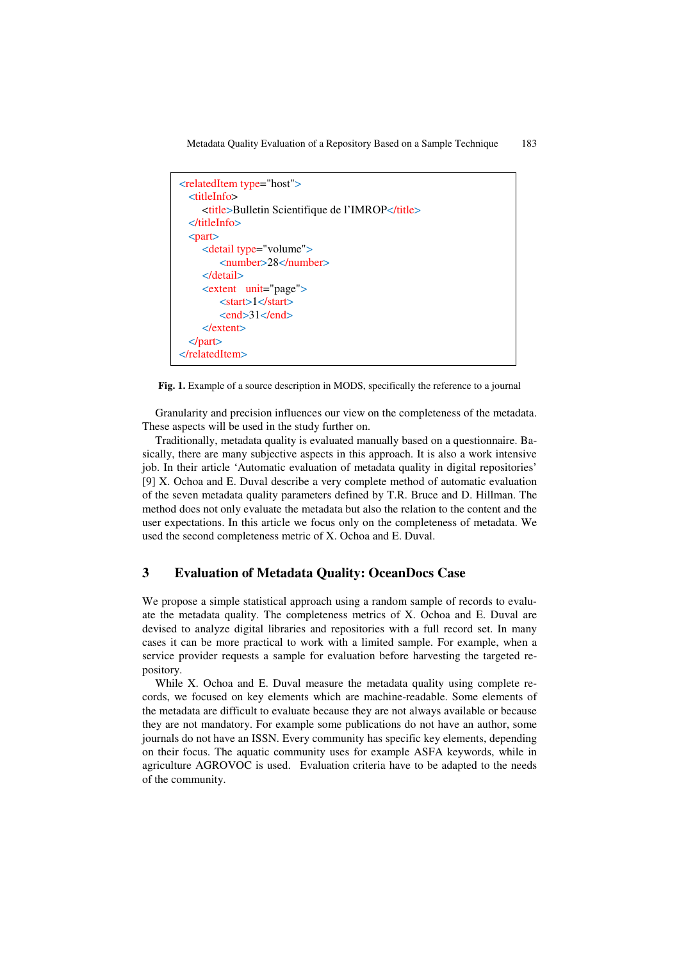```
<relatedItem type="host">
   <titleInfo> 
      <title>Bulletin Scientifique de l'IMROP</title> 
   </titleInfo>
  <part> <detail type="volume">
         <number>28</number>
      </detail>
      <extent unit="page">
        <start>1</start>\leqend>31\leq/end> </extent>
   </part>
</relatedItem>
```
**Fig. 1.** Example of a source description in MODS, specifically the reference to a journal

Granularity and precision influences our view on the completeness of the metadata. These aspects will be used in the study further on.

Traditionally, metadata quality is evaluated manually based on a questionnaire. Basically, there are many subjective aspects in this approach. It is also a work intensive job. In their article 'Automatic evaluation of metadata quality in digital repositories' [9] X. Ochoa and E. Duval describe a very complete method of automatic evaluation of the seven metadata quality parameters defined by T.R. Bruce and D. Hillman. The method does not only evaluate the metadata but also the relation to the content and the user expectations. In this article we focus only on the completeness of metadata. We used the second completeness metric of X. Ochoa and E. Duval.

# **3 Evaluation of Metadata Quality: OceanDocs Case**

We propose a simple statistical approach using a random sample of records to evaluate the metadata quality. The completeness metrics of X. Ochoa and E. Duval are devised to analyze digital libraries and repositories with a full record set. In many cases it can be more practical to work with a limited sample. For example, when a service provider requests a sample for evaluation before harvesting the targeted repository.

While X. Ochoa and E. Duval measure the metadata quality using complete records, we focused on key elements which are machine-readable. Some elements of the metadata are difficult to evaluate because they are not always available or because they are not mandatory. For example some publications do not have an author, some journals do not have an ISSN. Every community has specific key elements, depending on their focus. The aquatic community uses for example ASFA keywords, while in agriculture AGROVOC is used. Evaluation criteria have to be adapted to the needs of the community.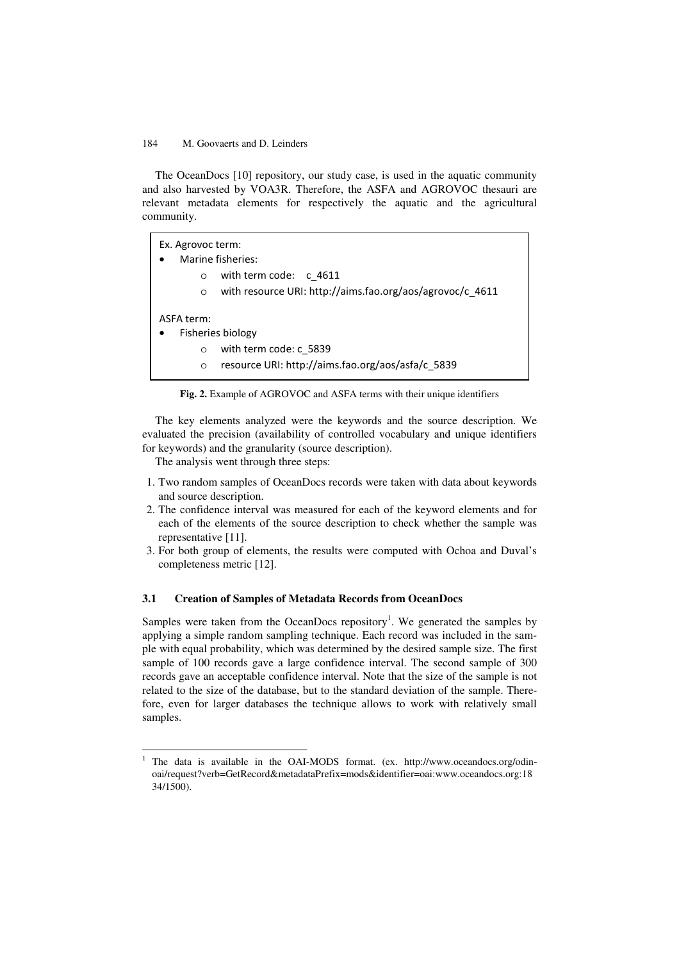#### 184 M. Goovaerts and D. Leinders

The OceanDocs [10] repository, our study case, is used in the aquatic community and also harvested by VOA3R. Therefore, the ASFA and AGROVOC thesauri are relevant metadata elements for respectively the aquatic and the agricultural community.

Ex. Agrovoc term: • Marine fisheries: o with term code: c\_4611 o with resource URI: http://aims.fao.org/aos/agrovoc/c\_4611 ASFA term: • Fisheries biology o with term code: c\_5839 o resource URI: http://aims.fao.org/aos/asfa/c\_5839



The key elements analyzed were the keywords and the source description. We evaluated the precision (availability of controlled vocabulary and unique identifiers for keywords) and the granularity (source description).

The analysis went through three steps:

-

- 1. Two random samples of OceanDocs records were taken with data about keywords and source description.
- 2. The confidence interval was measured for each of the keyword elements and for each of the elements of the source description to check whether the sample was representative [11].
- 3. For both group of elements, the results were computed with Ochoa and Duval's completeness metric [12].

#### **3.1 Creation of Samples of Metadata Records from OceanDocs**

Samples were taken from the OceanDocs repository<sup>1</sup>. We generated the samples by applying a simple random sampling technique. Each record was included in the sample with equal probability, which was determined by the desired sample size. The first sample of 100 records gave a large confidence interval. The second sample of 300 records gave an acceptable confidence interval. Note that the size of the sample is not related to the size of the database, but to the standard deviation of the sample. Therefore, even for larger databases the technique allows to work with relatively small samples.

<sup>&</sup>lt;sup>1</sup> The data is available in the OAI-MODS format. (ex. http://www.oceandocs.org/odinoai/request?verb=GetRecord&metadataPrefix=mods&identifier=oai:www.oceandocs.org:18 34/1500).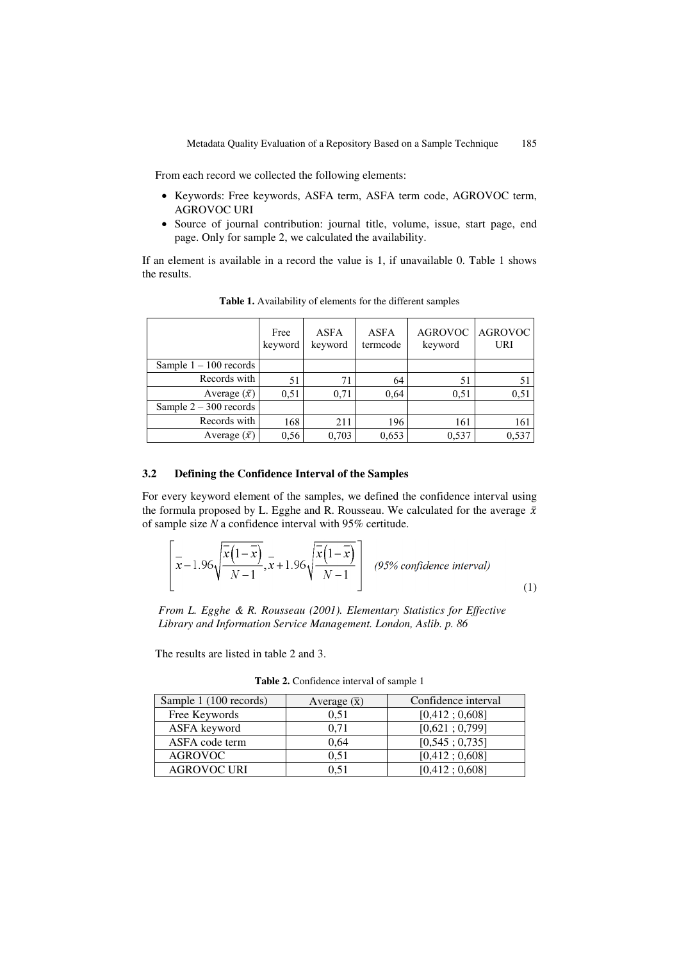From each record we collected the following elements:

- Keywords: Free keywords, ASFA term, ASFA term code, AGROVOC term, AGROVOC URI
- Source of journal contribution: journal title, volume, issue, start page, end page. Only for sample 2, we calculated the availability.

If an element is available in a record the value is 1, if unavailable 0. Table 1 shows the results.

|                          | Free<br>keyword | <b>ASFA</b><br>keyword | <b>ASFA</b><br>termcode | <b>AGROVOC</b><br>keyword | <b>AGROVOC</b><br><b>URI</b> |
|--------------------------|-----------------|------------------------|-------------------------|---------------------------|------------------------------|
| Sample $1 - 100$ records |                 |                        |                         |                           |                              |
| Records with             | 51              | 71                     | 64                      | 51                        | 51                           |
| Average $(\bar{x})$      | 0.51            | 0.71                   | 0.64                    | 0.51                      | 0,51                         |
| Sample $2 - 300$ records |                 |                        |                         |                           |                              |
| Records with             | 168             | 211                    | 196                     | 161                       | 161                          |
| Average $(\bar{x})$      | 0.56            | 0,703                  | 0,653                   | 0,537                     | 0,537                        |

**Table 1.** Availability of elements for the different samples

### **3.2 Defining the Confidence Interval of the Samples**

For every keyword element of the samples, we defined the confidence interval using the formula proposed by L. Egghe and R. Rousseau. We calculated for the average  $\bar{x}$ of sample size *N* a confidence interval with 95% certitude.

$$
\left[\overline{x} - 1.96\sqrt{\frac{\overline{x}(1-\overline{x})}{N-1}}, \overline{x} + 1.96\sqrt{\frac{\overline{x}(1-\overline{x})}{N-1}}\right] \quad (95\% confidence interval)
$$
\n(1)

*From L. Egghe & R. Rousseau (2001). Elementary Statistics for Effective Library and Information Service Management. London, Aslib. p. 86* 

The results are listed in table 2 and 3.

**Table 2.** Confidence interval of sample 1

| Sample 1 (100 records) | Average $(\bar{x})$ | Confidence interval |
|------------------------|---------------------|---------------------|
| Free Keywords          | 0.51                | [0,412; 0,608]      |
| ASFA keyword           | 0.71                | [0,621; 0,799]      |
| ASFA code term         | 0.64                | [0,545; 0,735]      |
| <b>AGROVOC</b>         | 0.51                | [0,412; 0,608]      |
| <b>AGROVOC URI</b>     | 0.51                | [0,412; 0,608]      |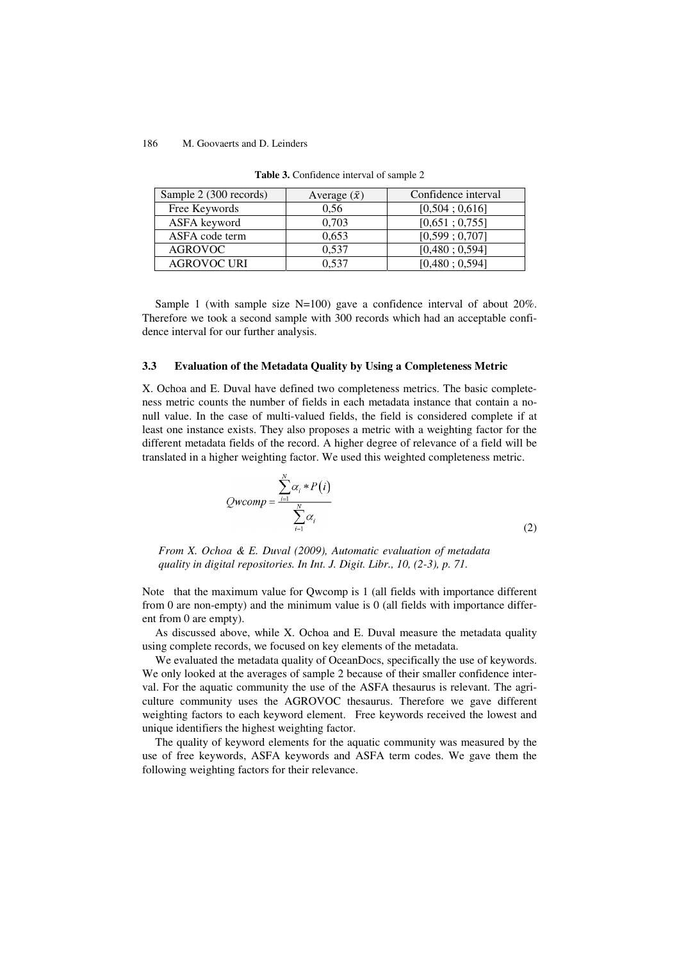| Sample 2 (300 records) | Average $(\bar{x})$ | Confidence interval |
|------------------------|---------------------|---------------------|
| Free Keywords          | 0.56                | [0,504; 0,616]      |
| ASFA keyword           | 0.703               | [0.651:0.755]       |
| ASFA code term         | 0.653               | [0.599:0.707]       |
| <b>AGROVOC</b>         | 0.537               | [0,480; 0,594]      |
| <b>AGROVOC URI</b>     | 0.537               | [0,480:0.594]       |

**Table 3.** Confidence interval of sample 2

Sample 1 (with sample size  $N=100$ ) gave a confidence interval of about 20%. Therefore we took a second sample with 300 records which had an acceptable confidence interval for our further analysis.

#### **3.3 Evaluation of the Metadata Quality by Using a Completeness Metric**

X. Ochoa and E. Duval have defined two completeness metrics. The basic completeness metric counts the number of fields in each metadata instance that contain a nonull value. In the case of multi-valued fields, the field is considered complete if at least one instance exists. They also proposes a metric with a weighting factor for the different metadata fields of the record. A higher degree of relevance of a field will be translated in a higher weighting factor. We used this weighted completeness metric.

$$
Qwcomp = \frac{\sum_{i=1}^{N} \alpha_i * P(i)}{\sum_{i=1}^{N} \alpha_i}
$$
 (2)

*From X. Ochoa & E. Duval (2009), Automatic evaluation of metadata quality in digital repositories. In Int. J. Digit. Libr., 10, (2-3), p. 71.* 

Note that the maximum value for Qwcomp is 1 (all fields with importance different from 0 are non-empty) and the minimum value is 0 (all fields with importance different from 0 are empty).

As discussed above, while X. Ochoa and E. Duval measure the metadata quality using complete records, we focused on key elements of the metadata.

We evaluated the metadata quality of OceanDocs, specifically the use of keywords. We only looked at the averages of sample 2 because of their smaller confidence interval. For the aquatic community the use of the ASFA thesaurus is relevant. The agriculture community uses the AGROVOC thesaurus. Therefore we gave different weighting factors to each keyword element. Free keywords received the lowest and unique identifiers the highest weighting factor.

The quality of keyword elements for the aquatic community was measured by the use of free keywords, ASFA keywords and ASFA term codes. We gave them the following weighting factors for their relevance.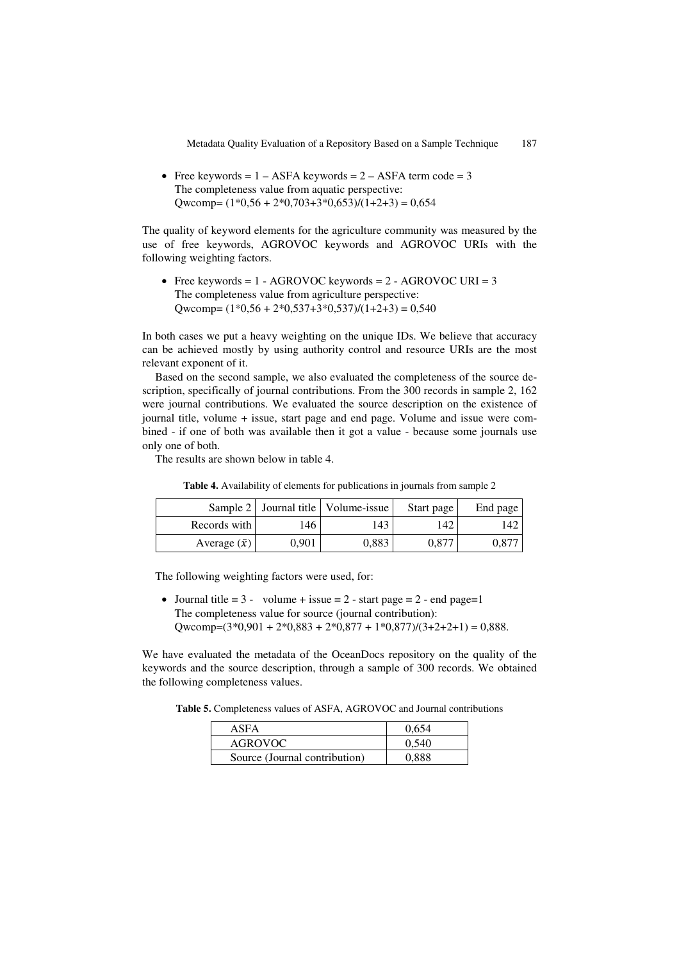• Free keywords  $= 1 - ASFA$  keywords  $= 2 - ASFA$  term code  $= 3$ The completeness value from aquatic perspective: Qwcomp=  $(1*0,56 + 2*0,703+3*0,653)/(1+2+3) = 0,654$ 

The quality of keyword elements for the agriculture community was measured by the use of free keywords, AGROVOC keywords and AGROVOC URIs with the following weighting factors.

• Free keywords =  $1 - AGROVOC$  keywords =  $2 - AGROVOC$  URI =  $3$ The completeness value from agriculture perspective: Qwcomp=  $(1*0,56 + 2*0,537+3*0,537)/(1+2+3) = 0,540$ 

In both cases we put a heavy weighting on the unique IDs. We believe that accuracy can be achieved mostly by using authority control and resource URIs are the most relevant exponent of it.

Based on the second sample, we also evaluated the completeness of the source description, specifically of journal contributions. From the 300 records in sample 2, 162 were journal contributions. We evaluated the source description on the existence of journal title, volume + issue, start page and end page. Volume and issue were combined - if one of both was available then it got a value - because some journals use only one of both.

The results are shown below in table 4.

|                     |       | Sample 2   Journal title   Volume-issue | Start page | End page   |
|---------------------|-------|-----------------------------------------|------------|------------|
| Records with        | 146.  | 143                                     | 142        | 142        |
| Average $(\bar{x})$ | 0.901 | 0,883                                   | 0.877      | $0.87^{-}$ |

**Table 4.** Availability of elements for publications in journals from sample 2

The following weighting factors were used, for:

• Journal title =  $3$  - volume + issue =  $2$  - start page =  $2$  - end page=1 The completeness value for source (journal contribution): Qwcomp= $(3*0,901 + 2*0,883 + 2*0,877 + 1*0,877)/(3+2+2+1) = 0,888$ .

We have evaluated the metadata of the OceanDocs repository on the quality of the keywords and the source description, through a sample of 300 records. We obtained the following completeness values.

**Table 5.** Completeness values of ASFA, AGROVOC and Journal contributions

| ASFA                          | 0.654 |
|-------------------------------|-------|
| AGROVOC                       | 0.540 |
| Source (Journal contribution) | 0.888 |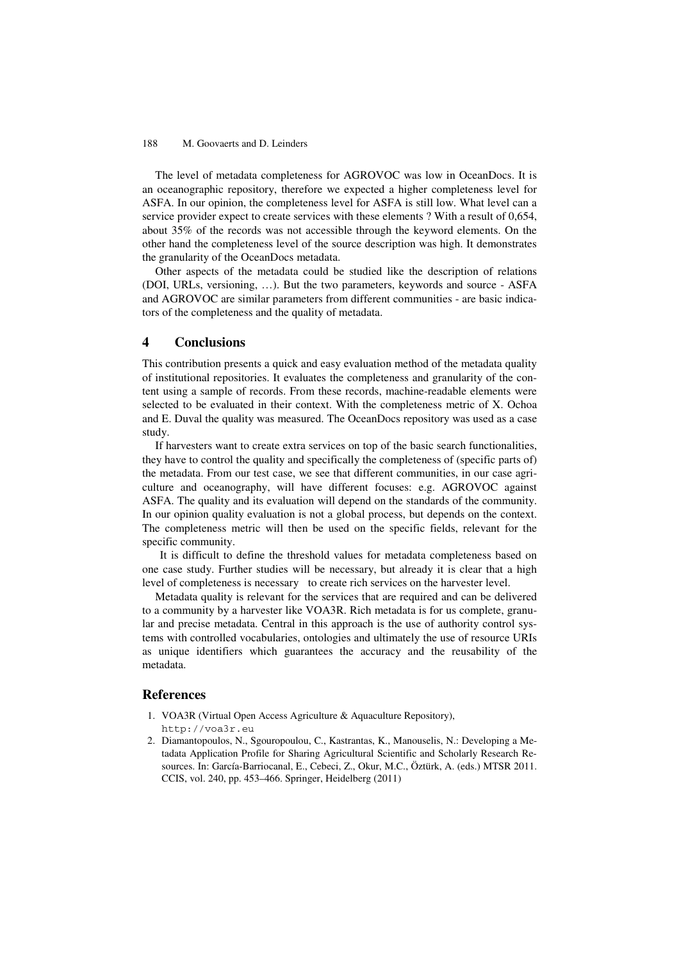#### 188 M. Goovaerts and D. Leinders

The level of metadata completeness for AGROVOC was low in OceanDocs. It is an oceanographic repository, therefore we expected a higher completeness level for ASFA. In our opinion, the completeness level for ASFA is still low. What level can a service provider expect to create services with these elements ? With a result of 0,654, about 35% of the records was not accessible through the keyword elements. On the other hand the completeness level of the source description was high. It demonstrates the granularity of the OceanDocs metadata.

Other aspects of the metadata could be studied like the description of relations (DOI, URLs, versioning, …). But the two parameters, keywords and source - ASFA and AGROVOC are similar parameters from different communities - are basic indicators of the completeness and the quality of metadata.

## **4 Conclusions**

This contribution presents a quick and easy evaluation method of the metadata quality of institutional repositories. It evaluates the completeness and granularity of the content using a sample of records. From these records, machine-readable elements were selected to be evaluated in their context. With the completeness metric of X. Ochoa and E. Duval the quality was measured. The OceanDocs repository was used as a case study.

If harvesters want to create extra services on top of the basic search functionalities, they have to control the quality and specifically the completeness of (specific parts of) the metadata. From our test case, we see that different communities, in our case agriculture and oceanography, will have different focuses: e.g. AGROVOC against ASFA. The quality and its evaluation will depend on the standards of the community. In our opinion quality evaluation is not a global process, but depends on the context. The completeness metric will then be used on the specific fields, relevant for the specific community.

 It is difficult to define the threshold values for metadata completeness based on one case study. Further studies will be necessary, but already it is clear that a high level of completeness is necessary to create rich services on the harvester level.

Metadata quality is relevant for the services that are required and can be delivered to a community by a harvester like VOA3R. Rich metadata is for us complete, granular and precise metadata. Central in this approach is the use of authority control systems with controlled vocabularies, ontologies and ultimately the use of resource URIs as unique identifiers which guarantees the accuracy and the reusability of the metadata.

## **References**

- 1. VOA3R (Virtual Open Access Agriculture & Aquaculture Repository), http://voa3r.eu
- 2. Diamantopoulos, N., Sgouropoulou, C., Kastrantas, K., Manouselis, N.: Developing a Metadata Application Profile for Sharing Agricultural Scientific and Scholarly Research Resources. In: García-Barriocanal, E., Cebeci, Z., Okur, M.C., Öztürk, A. (eds.) MTSR 2011. CCIS, vol. 240, pp. 453–466. Springer, Heidelberg (2011)